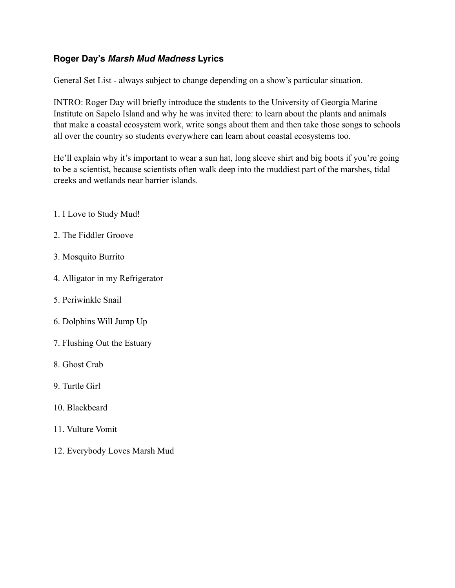# **Roger Day's** *Marsh Mud Madness* **Lyrics**

General Set List - always subject to change depending on a show's particular situation.

INTRO: Roger Day will briefly introduce the students to the University of Georgia Marine Institute on Sapelo Island and why he was invited there: to learn about the plants and animals that make a coastal ecosystem work, write songs about them and then take those songs to schools all over the country so students everywhere can learn about coastal ecosystems too.

He'll explain why it's important to wear a sun hat, long sleeve shirt and big boots if you're going to be a scientist, because scientists often walk deep into the muddiest part of the marshes, tidal creeks and wetlands near barrier islands.

- 1. I Love to Study Mud!
- 2. The Fiddler Groove
- 3. Mosquito Burrito
- 4. Alligator in my Refrigerator
- 5. Periwinkle Snail
- 6. Dolphins Will Jump Up
- 7. Flushing Out the Estuary
- 8. Ghost Crab
- 9. Turtle Girl
- 10. Blackbeard
- 11. Vulture Vomit
- 12. Everybody Loves Marsh Mud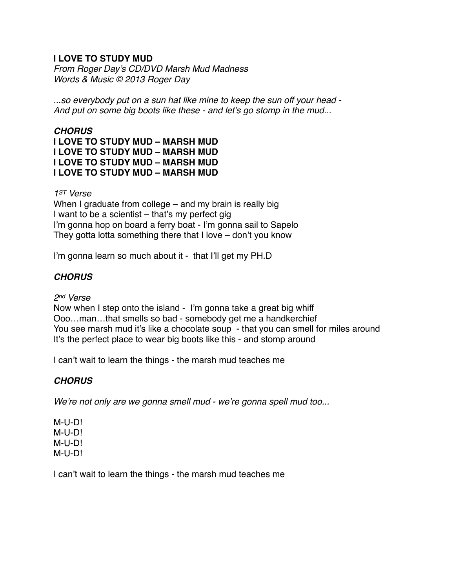# **I LOVE TO STUDY MUD**

*From Roger Day's CD/DVD Marsh Mud Madness Words & Music © 2013 Roger Day*

*...so everybody put on a sun hat like mine to keep the sun off your head - And put on some big boots like these - and let's go stomp in the mud...*

# *CHORUS*

**I LOVE TO STUDY MUD – MARSH MUD I LOVE TO STUDY MUD – MARSH MUD I LOVE TO STUDY MUD – MARSH MUD I LOVE TO STUDY MUD – MARSH MUD**

*1ST Verse*

When I graduate from college – and my brain is really big I want to be a scientist – that's my perfect gig I'm gonna hop on board a ferry boat - I'm gonna sail to Sapelo They gotta lotta something there that I love – don't you know

I'm gonna learn so much about it - that I'll get my PH.D

# *CHORUS*

*2nd Verse*

Now when I step onto the island - I'm gonna take a great big whiff Ooo…man…that smells so bad - somebody get me a handkerchief You see marsh mud it's like a chocolate soup - that you can smell for miles around It's the perfect place to wear big boots like this - and stomp around

I can't wait to learn the things - the marsh mud teaches me

### *CHORUS*

*We're not only are we gonna smell mud - we're gonna spell mud too...*

M-U-D! M-U-D! M-U-D! M-U-D!

I can't wait to learn the things - the marsh mud teaches me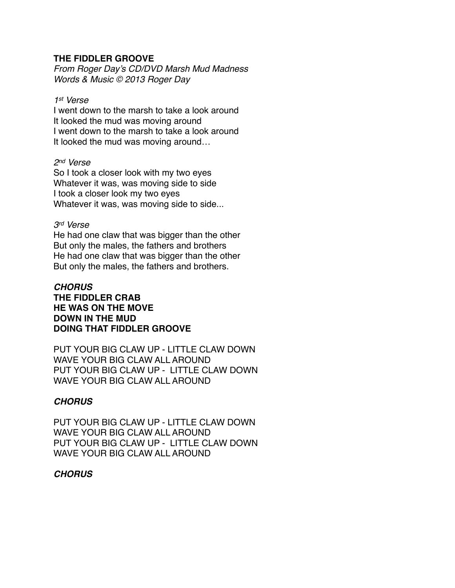#### **THE FIDDLER GROOVE**

*From Roger Day's CD/DVD Marsh Mud Madness Words & Music © 2013 Roger Day*

#### *1st Verse*

I went down to the marsh to take a look around It looked the mud was moving around I went down to the marsh to take a look around It looked the mud was moving around…

#### *2nd Verse*

So I took a closer look with my two eyes Whatever it was, was moving side to side I took a closer look my two eyes Whatever it was, was moving side to side...

#### *3rd Verse*

He had one claw that was bigger than the other But only the males, the fathers and brothers He had one claw that was bigger than the other But only the males, the fathers and brothers.

#### *CHORUS* **THE FIDDLER CRAB HE WAS ON THE MOVE DOWN IN THE MUD DOING THAT FIDDLER GROOVE**

PUT YOUR BIG CLAW UP - LITTLE CLAW DOWN WAVE YOUR BIG CLAW ALL AROUND PUT YOUR BIG CLAW UP - LITTLE CLAW DOWN WAVE YOUR BIG CLAW ALL AROUND

# *CHORUS*

PUT YOUR BIG CLAW UP - LITTLE CLAW DOWN WAVE YOUR BIG CLAW ALL AROUND PUT YOUR BIG CLAW UP - LITTLE CLAW DOWN WAVE YOUR BIG CLAW ALL AROUND

### *CHORUS*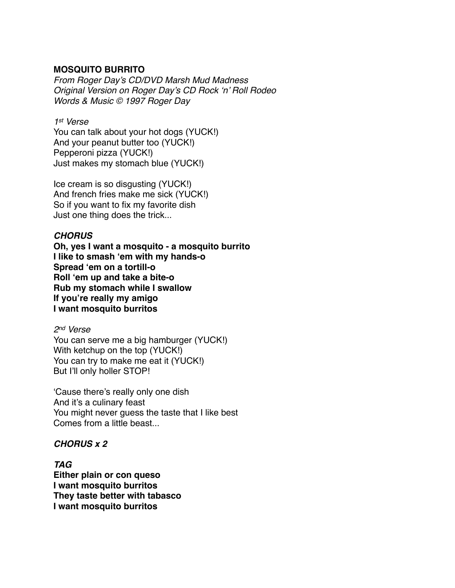### **MOSQUITO BURRITO**

*From Roger Day's CD/DVD Marsh Mud Madness Original Version on Roger Day's CD Rock 'n' Roll Rodeo Words & Music © 1997 Roger Day* 

#### *1st Verse*

You can talk about your hot dogs (YUCK!) And your peanut butter too (YUCK!) Pepperoni pizza (YUCK!) Just makes my stomach blue (YUCK!)

Ice cream is so disgusting (YUCK!) And french fries make me sick (YUCK!) So if you want to fix my favorite dish Just one thing does the trick...

#### *CHORUS*

**Oh, yes I want a mosquito - a mosquito burrito I like to smash 'em with my hands-o Spread 'em on a tortill-o Roll 'em up and take a bite-o Rub my stomach while I swallow If you're really my amigo I want mosquito burritos**

*2nd Verse*

You can serve me a big hamburger (YUCK!) With ketchup on the top (YUCK!) You can try to make me eat it (YUCK!) But I'll only holler STOP!

'Cause there's really only one dish And it's a culinary feast You might never guess the taste that I like best Comes from a little beast...

#### *CHORUS x 2*

*TAG* **Either plain or con queso I want mosquito burritos They taste better with tabasco I want mosquito burritos**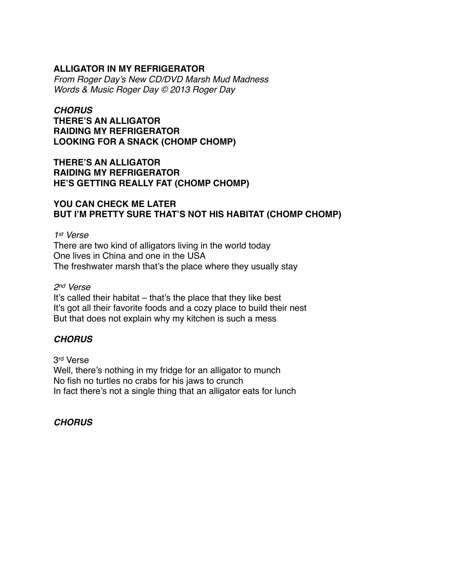# **ALLIGATOR IN MY REFRIGERATOR**

*From Roger Day's New CD/DVD Marsh Mud Madness Words & Music Roger Day © 2013 Roger Day*

#### *CHORUS*

**THERE'S AN ALLIGATOR RAIDING MY REFRIGERATOR LOOKING FOR A SNACK (CHOMP CHOMP)**

# **THERE'S AN ALLIGATOR RAIDING MY REFRIGERATOR HE'S GETTING REALLY FAT (CHOMP CHOMP)**

#### **YOU CAN CHECK ME LATER BUT I'M PRETTY SURE THAT'S NOT HIS HABITAT (CHOMP CHOMP)**

*1st Verse*

There are two kind of alligators living in the world today One lives in China and one in the USA The freshwater marsh that's the place where they usually stay

#### *2nd Verse*

It's called their habitat – that's the place that they like best It's got all their favorite foods and a cozy place to build their nest But that does not explain why my kitchen is such a mess

### *CHORUS*

3rd Verse Well, there's nothing in my fridge for an alligator to munch No fish no turtles no crabs for his jaws to crunch In fact there's not a single thing that an alligator eats for lunch

#### *CHORUS*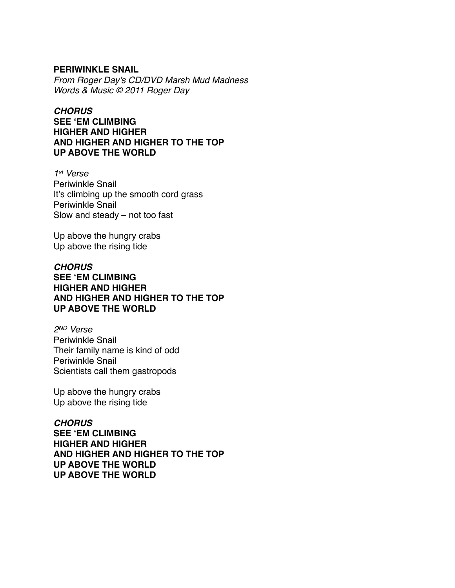#### **PERIWINKLE SNAIL**

*From Roger Day's CD/DVD Marsh Mud Madness Words & Music © 2011 Roger Day*

# *CHORUS*

**SEE 'EM CLIMBING HIGHER AND HIGHER AND HIGHER AND HIGHER TO THE TOP UP ABOVE THE WORLD**

*1st Verse* Periwinkle Snail It's climbing up the smooth cord grass Periwinkle Snail Slow and steady – not too fast

Up above the hungry crabs Up above the rising tide

### *CHORUS* **SEE 'EM CLIMBING HIGHER AND HIGHER AND HIGHER AND HIGHER TO THE TOP UP ABOVE THE WORLD**

*2ND Verse* Periwinkle Snail Their family name is kind of odd Periwinkle Snail Scientists call them gastropods

Up above the hungry crabs Up above the rising tide

### *CHORUS* **SEE 'EM CLIMBING HIGHER AND HIGHER AND HIGHER AND HIGHER TO THE TOP UP ABOVE THE WORLD UP ABOVE THE WORLD**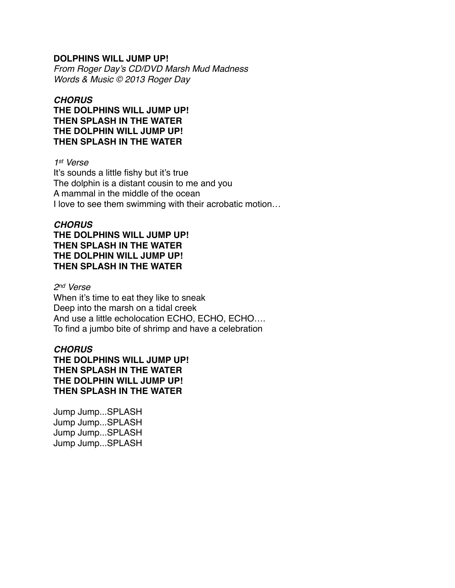#### **DOLPHINS WILL JUMP UP!**

*From Roger Day's CD/DVD Marsh Mud Madness Words & Music © 2013 Roger Day*

#### *CHORUS*

**THE DOLPHINS WILL JUMP UP! THEN SPLASH IN THE WATER THE DOLPHIN WILL JUMP UP! THEN SPLASH IN THE WATER**

#### *1st Verse*

It's sounds a little fishy but it's true The dolphin is a distant cousin to me and you A mammal in the middle of the ocean I love to see them swimming with their acrobatic motion…

### *CHORUS*

### **THE DOLPHINS WILL JUMP UP! THEN SPLASH IN THE WATER THE DOLPHIN WILL JUMP UP! THEN SPLASH IN THE WATER**

#### *2nd Verse*

When it's time to eat they like to sneak Deep into the marsh on a tidal creek And use a little echolocation ECHO, ECHO, ECHO…. To find a jumbo bite of shrimp and have a celebration

### *CHORUS*

**THE DOLPHINS WILL JUMP UP! THEN SPLASH IN THE WATER THE DOLPHIN WILL JUMP UP! THEN SPLASH IN THE WATER**

Jump Jump...SPLASH Jump Jump...SPLASH Jump Jump...SPLASH Jump Jump...SPLASH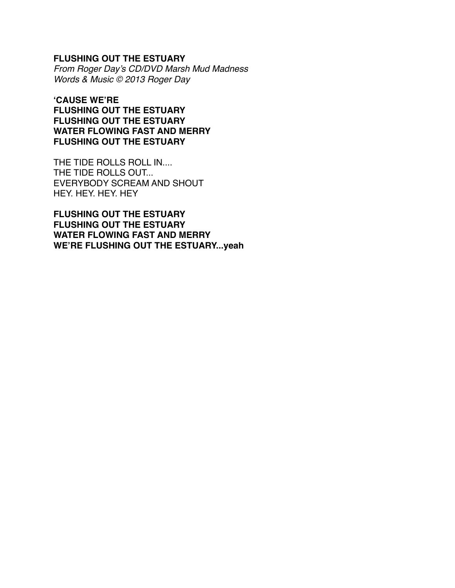#### **FLUSHING OUT THE ESTUARY**

*From Roger Day's CD/DVD Marsh Mud Madness Words & Music © 2013 Roger Day*

**'CAUSE WE'RE FLUSHING OUT THE ESTUARY FLUSHING OUT THE ESTUARY WATER FLOWING FAST AND MERRY FLUSHING OUT THE ESTUARY**

THE TIDE ROLLS ROLL IN.... THE TIDE ROLLS OUT... EVERYBODY SCREAM AND SHOUT HEY. HEY. HEY. HEY

**FLUSHING OUT THE ESTUARY FLUSHING OUT THE ESTUARY WATER FLOWING FAST AND MERRY WE'RE FLUSHING OUT THE ESTUARY...yeah**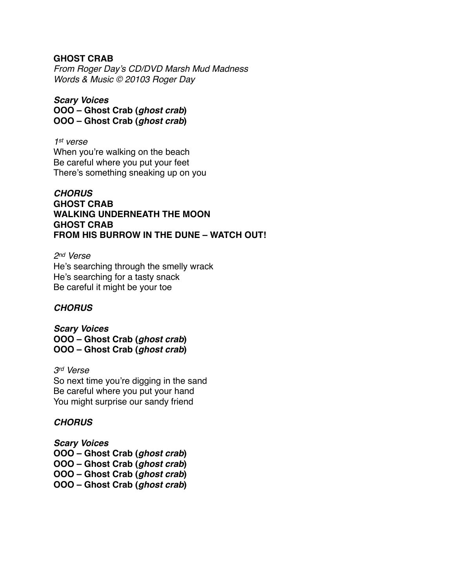#### **GHOST CRAB**

*From Roger Day's CD/DVD Marsh Mud Madness Words & Music © 20103 Roger Day*

*Scary Voices* **OOO – Ghost Crab (***ghost crab***) OOO – Ghost Crab (***ghost crab***)**

*1st verse* When you're walking on the beach Be careful where you put your feet There's something sneaking up on you

### *CHORUS* **GHOST CRAB WALKING UNDERNEATH THE MOON GHOST CRAB FROM HIS BURROW IN THE DUNE – WATCH OUT!**

*2nd Verse* He's searching through the smelly wrack He's searching for a tasty snack Be careful it might be your toe

### *CHORUS*

*Scary Voices* **OOO – Ghost Crab (***ghost crab***) OOO – Ghost Crab (***ghost crab***)**

*3rd Verse* So next time you're digging in the sand Be careful where you put your hand You might surprise our sandy friend

### *CHORUS*

*Scary Voices* **OOO – Ghost Crab (***ghost crab***) OOO – Ghost Crab (***ghost crab***) OOO – Ghost Crab (***ghost crab***) OOO – Ghost Crab (***ghost crab***)**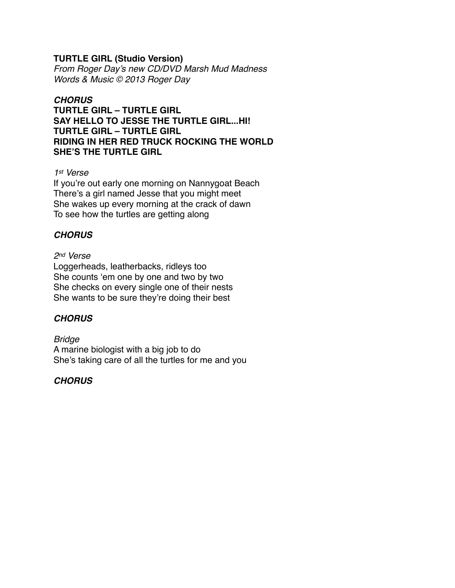### **TURTLE GIRL (Studio Version)**

*From Roger Day's new CD/DVD Marsh Mud Madness Words & Music © 2013 Roger Day*

### *CHORUS*

**TURTLE GIRL – TURTLE GIRL SAY HELLO TO JESSE THE TURTLE GIRL...HI! TURTLE GIRL – TURTLE GIRL RIDING IN HER RED TRUCK ROCKING THE WORLD SHE'S THE TURTLE GIRL**

#### *1st Verse*

If you're out early one morning on Nannygoat Beach There's a girl named Jesse that you might meet She wakes up every morning at the crack of dawn To see how the turtles are getting along

# *CHORUS*

#### *2nd Verse*

Loggerheads, leatherbacks, ridleys too She counts 'em one by one and two by two She checks on every single one of their nests She wants to be sure they're doing their best

### *CHORUS*

*Bridge* A marine biologist with a big job to do She's taking care of all the turtles for me and you

### *CHORUS*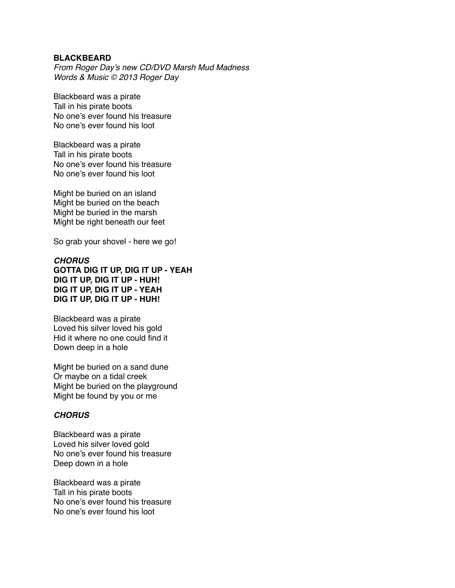#### **BLACKBEARD**

*From Roger Day's new CD/DVD Marsh Mud Madness Words & Music © 2013 Roger Day*

Blackbeard was a pirate Tall in his pirate boots No one's ever found his treasure No one's ever found his loot

Blackbeard was a pirate Tall in his pirate boots No one's ever found his treasure No one's ever found his loot

Might be buried on an island Might be buried on the beach Might be buried in the marsh Might be right beneath our feet

So grab your shovel - here we go!

#### *CHORUS* **GOTTA DIG IT UP, DIG IT UP - YEAH DIG IT UP, DIG IT UP - HUH! DIG IT UP, DIG IT UP - YEAH DIG IT UP, DIG IT UP - HUH!**

Blackbeard was a pirate Loved his silver loved his gold Hid it where no one could find it Down deep in a hole

Might be buried on a sand dune Or maybe on a tidal creek Might be buried on the playground Might be found by you or me

#### *CHORUS*

Blackbeard was a pirate Loved his silver loved gold No one's ever found his treasure Deep down in a hole

Blackbeard was a pirate Tall in his pirate boots No one's ever found his treasure No one's ever found his loot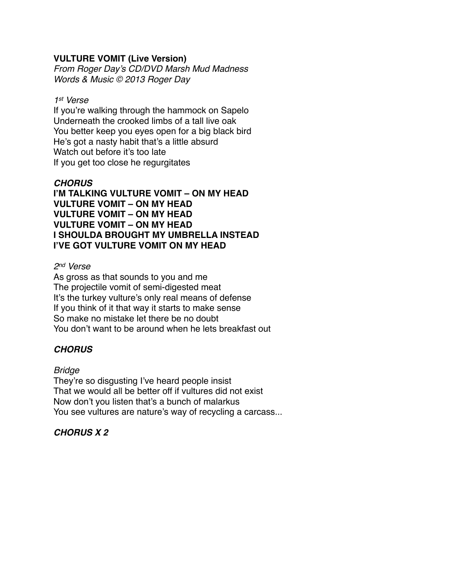### **VULTURE VOMIT (Live Version)**

*From Roger Day's CD/DVD Marsh Mud Madness Words & Music © 2013 Roger Day*

#### *1st Verse*

If you're walking through the hammock on Sapelo Underneath the crooked limbs of a tall live oak You better keep you eyes open for a big black bird He's got a nasty habit that's a little absurd Watch out before it's too late If you get too close he regurgitates

### *CHORUS*

**I'M TALKING VULTURE VOMIT – ON MY HEAD VULTURE VOMIT – ON MY HEAD VULTURE VOMIT – ON MY HEAD VULTURE VOMIT – ON MY HEAD I SHOULDA BROUGHT MY UMBRELLA INSTEAD I'VE GOT VULTURE VOMIT ON MY HEAD**

# *2nd Verse*

As gross as that sounds to you and me The projectile vomit of semi-digested meat It's the turkey vulture's only real means of defense If you think of it that way it starts to make sense So make no mistake let there be no doubt You don't want to be around when he lets breakfast out

# *CHORUS*

### *Bridge*

They're so disgusting I've heard people insist That we would all be better off if vultures did not exist Now don't you listen that's a bunch of malarkus You see vultures are nature's way of recycling a carcass...

# *CHORUS X 2*